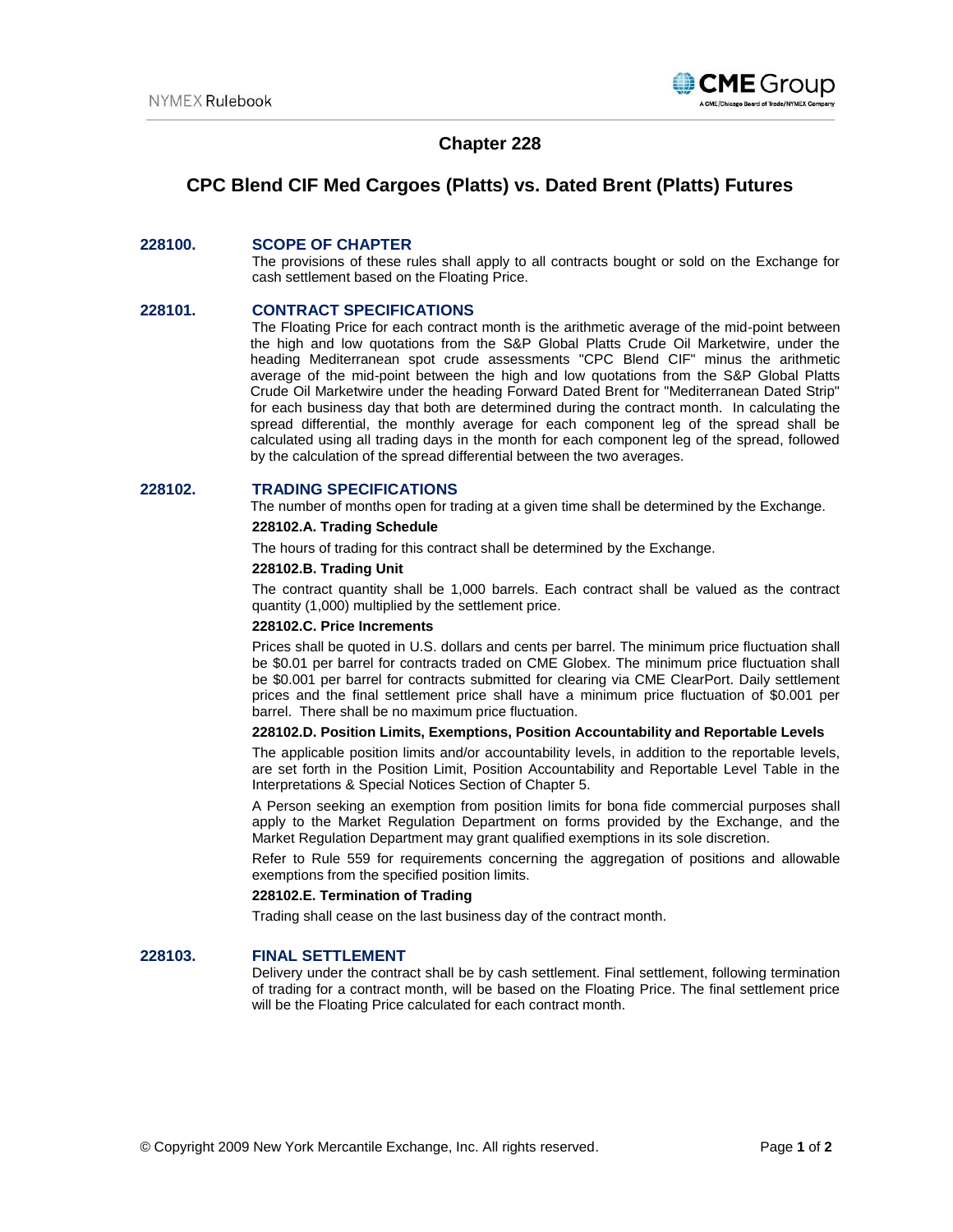

## **Chapter 228**

# **CPC Blend CIF Med Cargoes (Platts) vs. Dated Brent (Platts) Futures**

## **228100. SCOPE OF CHAPTER**

The provisions of these rules shall apply to all contracts bought or sold on the Exchange for cash settlement based on the Floating Price.

## **228101. CONTRACT SPECIFICATIONS**

The Floating Price for each contract month is the arithmetic average of the mid-point between the high and low quotations from the S&P Global Platts Crude Oil Marketwire, under the heading Mediterranean spot crude assessments "CPC Blend CIF" minus the arithmetic average of the mid-point between the high and low quotations from the S&P Global Platts Crude Oil Marketwire under the heading Forward Dated Brent for "Mediterranean Dated Strip" for each business day that both are determined during the contract month. In calculating the spread differential, the monthly average for each component leg of the spread shall be calculated using all trading days in the month for each component leg of the spread, followed by the calculation of the spread differential between the two averages.

### **228102. TRADING SPECIFICATIONS**

The number of months open for trading at a given time shall be determined by the Exchange.

#### **228102.A. Trading Schedule**

The hours of trading for this contract shall be determined by the Exchange.

#### **228102.B. Trading Unit**

The contract quantity shall be 1,000 barrels. Each contract shall be valued as the contract quantity (1,000) multiplied by the settlement price.

## **228102.C. Price Increments**

Prices shall be quoted in U.S. dollars and cents per barrel. The minimum price fluctuation shall be \$0.01 per barrel for contracts traded on CME Globex. The minimum price fluctuation shall be \$0.001 per barrel for contracts submitted for clearing via CME ClearPort. Daily settlement prices and the final settlement price shall have a minimum price fluctuation of \$0.001 per barrel. There shall be no maximum price fluctuation.

#### **228102.D. Position Limits, Exemptions, Position Accountability and Reportable Levels**

The applicable position limits and/or accountability levels, in addition to the reportable levels, are set forth in the Position Limit, Position Accountability and Reportable Level Table in the Interpretations & Special Notices Section of Chapter 5.

A Person seeking an exemption from position limits for bona fide commercial purposes shall apply to the Market Regulation Department on forms provided by the Exchange, and the Market Regulation Department may grant qualified exemptions in its sole discretion.

Refer to Rule 559 for requirements concerning the aggregation of positions and allowable exemptions from the specified position limits.

#### **228102.E. Termination of Trading**

Trading shall cease on the last business day of the contract month.

#### **228103. FINAL SETTLEMENT**

Delivery under the contract shall be by cash settlement. Final settlement, following termination of trading for a contract month, will be based on the Floating Price. The final settlement price will be the Floating Price calculated for each contract month.